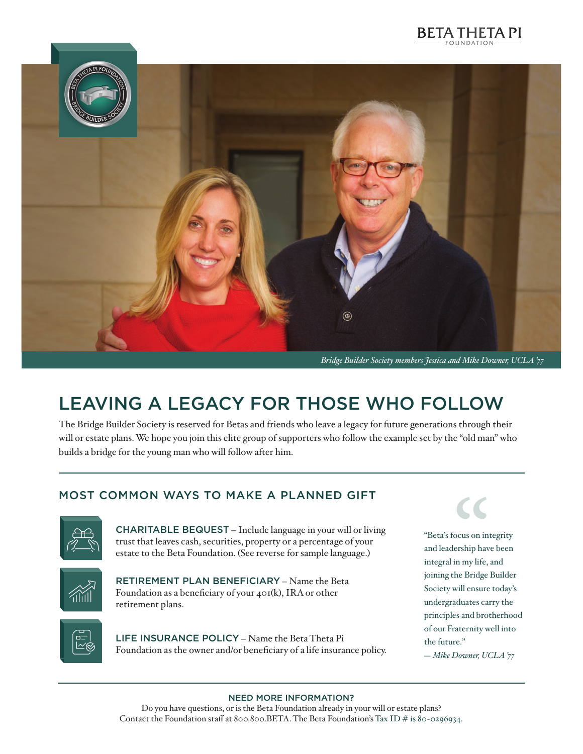



*Bridge Builder Society members Jessica and Mike Downer, UCLA '77*

# LEAVING A LEGACY FOR THOSE WHO FOLLOW

The Bridge Builder Society is reserved for Betas and friends who leave a legacy for future generations through their will or estate plans. We hope you join this elite group of supporters who follow the example set by the "old man" who builds a bridge for the young man who will follow after him.

### MOST COMMON WAYS TO MAKE A PLANNED GIFT



CHARITABLE BEQUEST – Include language in your will or living trust that leaves cash, securities, property or a percentage of your estate to the Beta Foundation. (See reverse for sample language.)



RETIREMENT PLAN BENEFICIARY – Name the Beta Foundation as a beneficiary of your 401(k), IRA or other retirement plans.



LIFE INSURANCE POLICY – Name the Beta Theta Pi Foundation as the owner and/or beneficiary of a life insurance policy.

"Beta's focus on integrity and leadership have been integral in my life, and joining the Bridge Builder Society will ensure today's undergraduates carry the principles and brotherhood of our Fraternity well into the future." *— Mike Downer, UCLA '77*

#### NEED MORE INFORMATION?

Do you have questions, or is the Beta Foundation already in your will or estate plans? Contact the Foundation staff at 800.800.BETA. The Beta Foundation's Tax ID  $\#$  is 80-0296934.